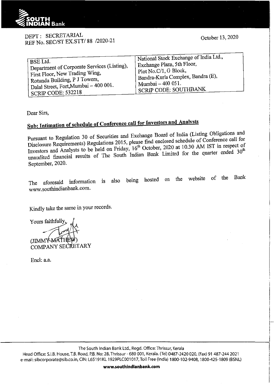

## DEPT: SECRETARIAL REF No. SEC/ST EX.STT/ 88 /2020-21

October 13, 2020

!! #Thinking |<br>|-

| BSE Ltd.                                                 | Mational Stock Exchange of India Ltd.,         |
|----------------------------------------------------------|------------------------------------------------|
| <sup>1</sup> Department of Corporate Services (Listing), | Exchange Plaza, 5th Floor,                     |
| <sup>1</sup> First Floor, New Trading Wing,              | Plot No.C/1, G Block,                          |
| <sup>1</sup> Rotunda Building, P J Towers,               | <sup>1</sup> Bandra-Kurla Complex, Bandra (E), |
| <sup>t</sup> Dalal Street, Fort, Mumbai - 400 001.       | ' Mumbai $-400051$ .                           |
| ' SCRIP CODE: 532218                                     | SCRIP CODE: SOUTHBANK                          |

Dear Sirs,

## **Sub: Intimation of schedule of Conference call for Investors and Analysts**

Pursuant to Regulation 30 of Securities and Exchange Board of India (Listing Obligations and Disclosure Requirements) Regulations 2015, please fmd enclosed schedule of Conference call for Investors and Analysts to be held on Friday,  $16^{th}$  October, 2020 at 10.30 AM IST in respect of Investors and Analysts to be held on Friday,  $16^{th}$ mendited financial results of The South Indian Bank Limited for the quarter ended 30 September, 2020.

The aforesaid information is also being hosted on the website of the Bank www.southindianbank.com.

Kindly take the same in your records.

Yours faithfully (JIMMY MA COMPANY SECRETARY

Encl: a.a.

The South Indian Bank Ltd., Regd. Office: Thrissur, Kerala

Head Office: S.I.B. House, T.B. Road, P.B. No: 28, Thrissur - 680 001, Kerala. (Tel) 0487-2420 020, (Fax) 91 487-244 2021 e-mail: sibcorporate@sib.co.in, CIN: L65191KL 1929PLC001017, Toll Free (India) 1800-102-9408, 1800-425-1809 (BSNL)

**www.southindianbank.com**